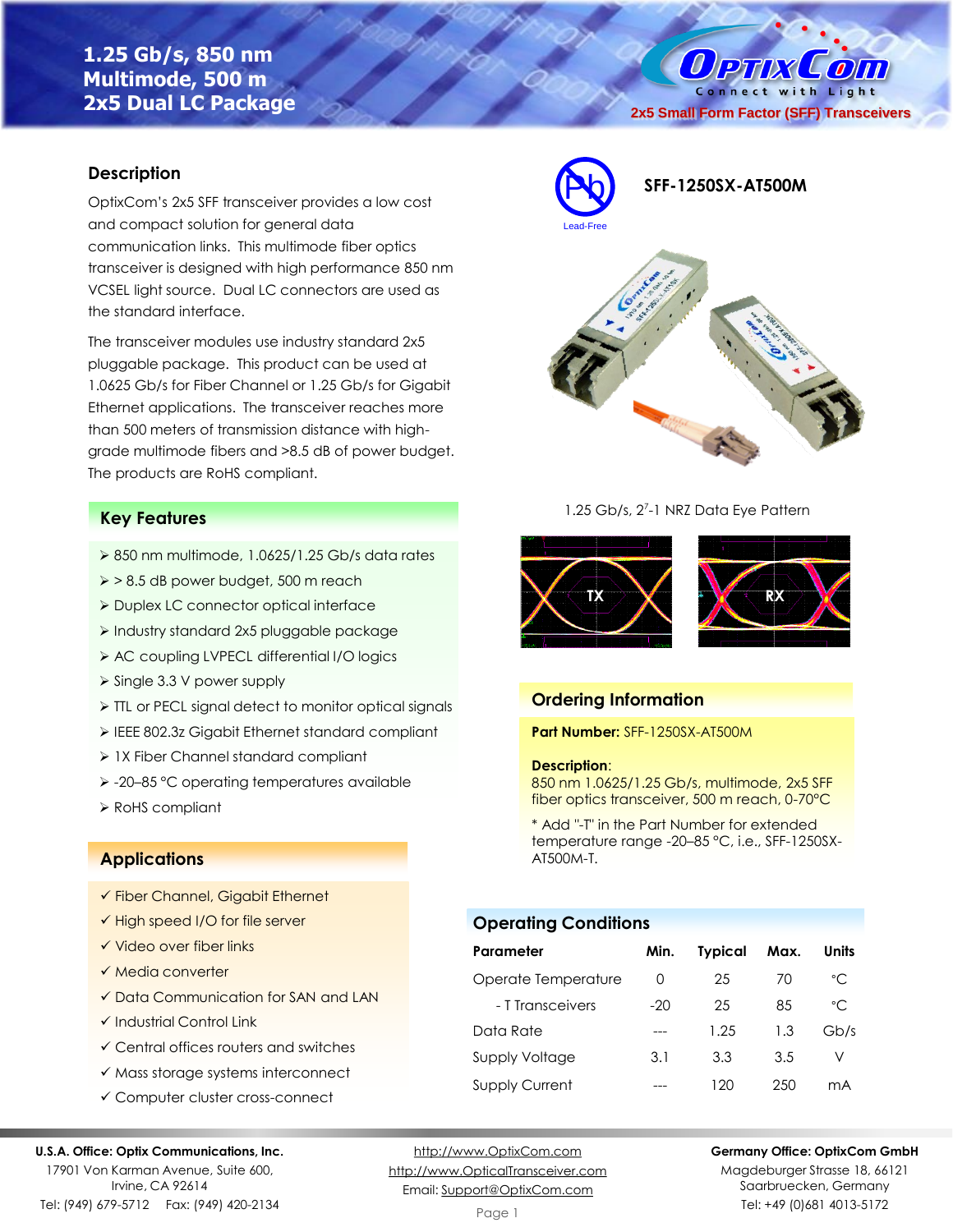# **1.25 Gb/s, 850 nm Multimode, 500 m 2x5 Dual LC Package**

Connect with Light **2x5 Small Form Factor (SFF) Transceivers**

 $\mathcal{L}$  oin

 $\bm{0}$ PTIX

## **Description**

OptixCom's 2x5 SFF transceiver provides a low cost and compact solution for general data communication links. This multimode fiber optics transceiver is designed with high performance 850 nm VCSEL light source. Dual LC connectors are used as the standard interface.

The transceiver modules use industry standard 2x5 pluggable package. This product can be used at 1.0625 Gb/s for Fiber Channel or 1.25 Gb/s for Gigabit Ethernet applications. The transceiver reaches more than 500 meters of transmission distance with highgrade multimode fibers and >8.5 dB of power budget. The products are RoHS compliant.

## **Key Features**

- $\geq 850$  nm multimode, 1.0625/1.25 Gb/s data rates
- ➢ > 8.5 dB power budget, 500 m reach
- ➢ Duplex LC connector optical interface
- ➢ Industry standard 2x5 pluggable package
- ➢ AC coupling LVPECL differential I/O logics
- ➢ Single 3.3 V power supply
- ➢ TTL or PECL signal detect to monitor optical signals
- ➢ IEEE 802.3z Gigabit Ethernet standard compliant
- ➢ 1X Fiber Channel standard compliant
- ➢ -20–85 °C operating temperatures available
- ➢ RoHS compliant

### **Applications**

- ✓ Fiber Channel, Gigabit Ethernet
- ✓ High speed I/O for file server
- ✓ Video over fiber links
- ✓ Media converter
- ✓ Data Communication for SAN and LAN
- ✓ Industrial Control Link
- ✓ Central offices routers and switches
- ✓ Mass storage systems interconnect
- ✓ Computer cluster cross-connect

#### **U.S.A. Office: Optix Communications, Inc.**

17901 Von Karman Avenue, Suite 600, Irvine, CA 92614 Tel: (949) 679-5712 Fax: (949) 420-2134

[http://www.OptixCom.com](http://www.optixcom.com/) [http://www.OpticalTransceiver.com](http://www.optoictech.com/) Email: [Support@OptixCom.com](mailto:Support@optoICtech.com)



1.25 Gb/s, 2<sup>7</sup>-1 NRZ Data Eye Pattern



### **Ordering Information**

**Part Number:** SFF-1250SX-AT500M

#### **Description**:

850 nm 1.0625/1.25 Gb/s, multimode, 2x5 SFF fiber optics transceiver, 500 m reach, 0-70°C

\* Add "-T" in the Part Number for extended temperature range -20–85 °C, i.e., SFF-1250SX-AT500M-T.

## **Operating Conditions**

| Parameter             | Min.             | <b>Typical</b> | Max. | Units          |
|-----------------------|------------------|----------------|------|----------------|
| Operate Temperature   | $\left( \right)$ | 25             | 70   | $^{\circ}$ C   |
| - T Transceivers      | $-20$            | 25             | 85   | $^{\circ}$ C   |
| Data Rate             |                  | 1.25           | 1.3  | Gb/s           |
| Supply Voltage        | 3.1              | 3.3            | 3.5  | V              |
| <b>Supply Current</b> |                  | 120            | 250  | m <sub>A</sub> |

**Germany Office: OptixCom GmbH**

Magdeburger Strasse 18, 66121 Saarbruecken, Germany Tel: +49 (0)681 4013-5172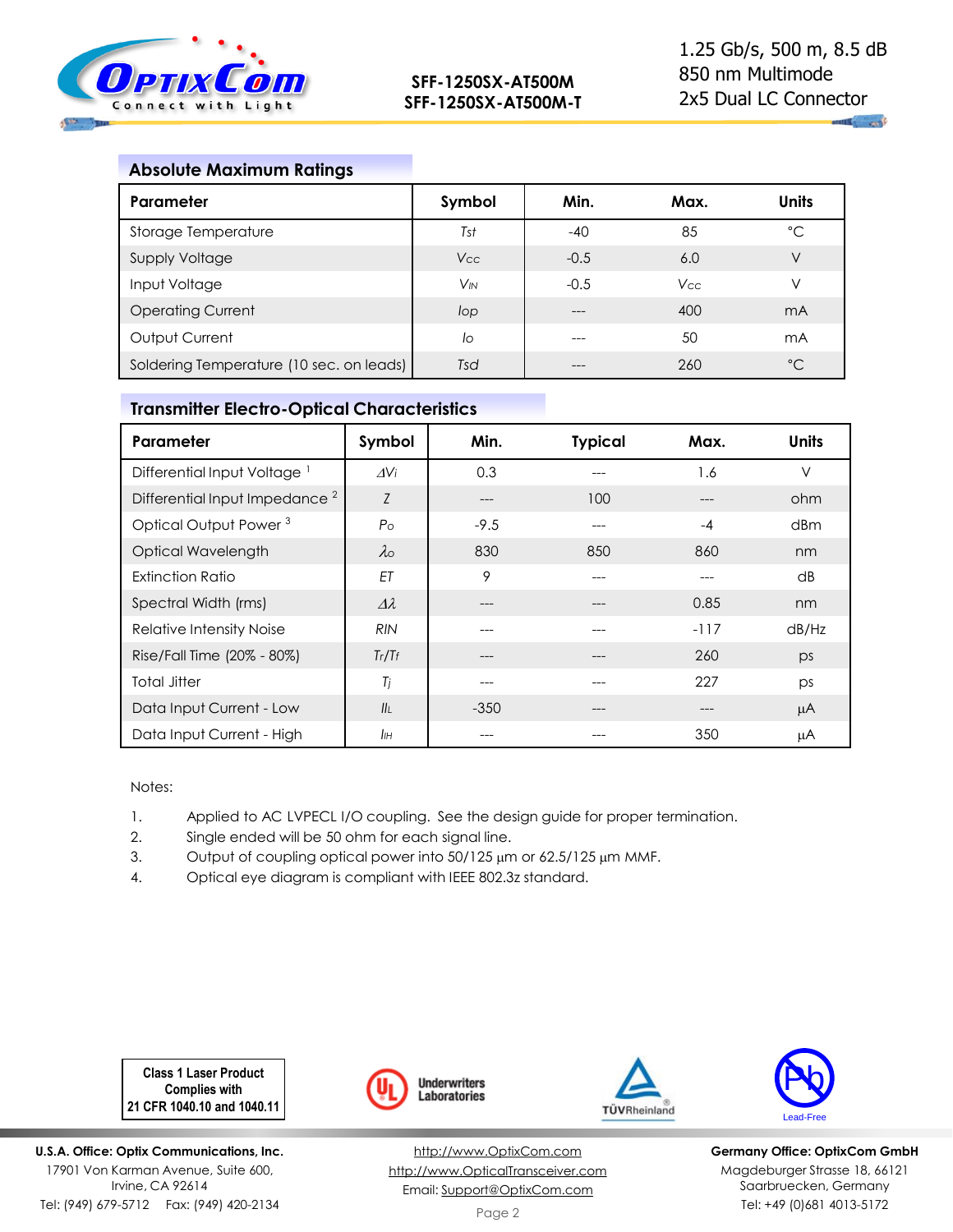

 $\mathbf{u}$  , and  $\mathbf{u}$ 

## **Absolute Maximum Ratings**

| Parameter                                | Symbol   | Min.   | Max.       | <b>Units</b> |
|------------------------------------------|----------|--------|------------|--------------|
| Storage Temperature                      | Tst      | $-40$  | 85         | °C           |
| Supply Voltage                           | Vcc      | $-0.5$ | 6.0        | V            |
| Input Voltage                            | $V_{IN}$ | $-0.5$ | <b>Vcc</b> | V            |
| <b>Operating Current</b>                 | lop      |        | 400        | mA           |
| Output Current                           | lo       |        | 50         | mA           |
| Soldering Temperature (10 sec. on leads) | Tsd      |        | 260        | $^{\circ}C$  |

## **Transmitter Electro-Optical Characteristics**

| Parameter                                 | Symbol             | Min.   | <b>Typical</b> | Max.   | <b>Units</b> |
|-------------------------------------------|--------------------|--------|----------------|--------|--------------|
| Differential Input Voltage <sup>1</sup>   | $\Delta V$ i       | 0.3    | ---            | 1.6    | $\vee$       |
| Differential Input Impedance <sup>2</sup> | Z                  | $---$  | 100            |        | ohm          |
| Optical Output Power <sup>3</sup>         | $P_{\rm O}$        | $-9.5$ | ---            | $-4$   | dBm          |
| Optical Wavelength                        | $\lambda$ o        | 830    | 850            | 860    | nm           |
| Extinction Ratio                          | EΤ                 | 9      | ---            | ---    | dB           |
| Spectral Width (rms)                      | $\varDelta\lambda$ | ---    | $---$          | 0.85   | nm           |
| Relative Intensity Noise                  | <b>RIN</b>         | ---    | ---            | $-117$ | dB/Hz        |
| Rise/Fall Time (20% - 80%)                | Tr/Tr              | ---    | $---$          | 260    | ps           |
| Total Jitter                              | Tj                 | ---    | ---            | 227    | ps           |
| Data Input Current - Low                  | II <sub>I</sub>    | $-350$ | $---$          | ---    | μA           |
| Data Input Current - High                 | IІн                | ---    | ---            | 350    | μA           |

Notes:

- 1. Applied to AC LVPECL I/O coupling. See the design guide for proper termination.
- 2. Single ended will be 50 ohm for each signal line.
- 3. Output of coupling optical power into  $50/125 \mu m$  or  $62.5/125 \mu m$  MMF.
- 4. Optical eye diagram is compliant with IEEE 802.3z standard.

**Class 1 Laser Product Complies with 21 CFR 1040.10 and 1040.11**

**U.S.A. Office: Optix Communications, Inc.** 17901 Von Karman Avenue, Suite 600, Irvine, CA 92614 Tel: (949) 679-5712 Fax: (949) 420-2134



[http://www.OptixCom.com](http://www.optixcom.com/) [http://www.OpticalTransceiver.com](http://www.optoictech.com/) Email: [Support@OptixCom.com](mailto:Support@optoICtech.com)





**Germany Office: OptixCom GmbH** Magdeburger Strasse 18, 66121 Saarbruecken, Germany Tel: +49 (0)681 4013-5172